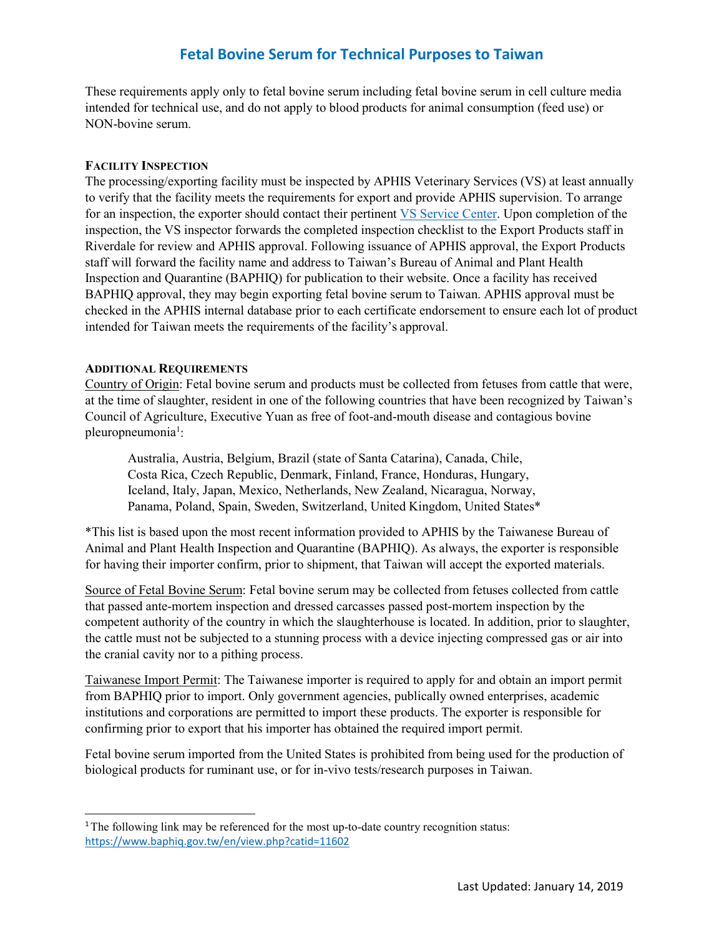### **Fetal Bovine Serum for Technical Purposes to Taiwan**

These requirements apply only to fetal bovine serum including fetal bovine serum in cell culture media intended for technical use, and do not apply to blood products for animal consumption (feed use) or NON-bovine serum.

#### **FACILITY INSPECTION**

The processing/exporting facility must be inspected by APHIS Veterinary Services (VS) at least annually to verify that the facility meets the requirements for export and provide APHIS supervision. To arrange for an inspection, the exporter should contact their pertinent [VS Service Center.](https://www.aphis.usda.gov/animal_health/downloads/nies_contacts/sc.pdf) Upon completion of the inspection, the VS inspector forwards the completed inspection checklist to the Export Products staff in Riverdale for review and APHIS approval. Following issuance of APHIS approval, the Export Products staff will forward the facility name and address to Taiwan's Bureau of Animal and Plant Health Inspection and Quarantine (BAPHIQ) for publication to their website. Once a facility has received BAPHIQ approval, they may begin exporting fetal bovine serum to Taiwan. APHIS approval must be checked in the APHIS internal database prior to each certificate endorsement to ensure each lot of product intended for Taiwan meets the requirements of the facility's approval.

#### **ADDITIONAL REQUIREMENTS**

Country of Origin: Fetal bovine serum and products must be collected from fetuses from cattle that were, at the time of slaughter, resident in one of the following countries that have been recognized by Taiwan's Council of Agriculture, Executive Yuan as free of foot-and-mouth disease and contagious bovine pleuropneumonia<sup>1</sup>:

Australia, Austria, Belgium, Brazil (state of Santa Catarina), Canada, Chile, Costa Rica, Czech Republic, Denmark, Finland, France, Honduras, Hungary, Iceland, Italy, Japan, Mexico, Netherlands, New Zealand, Nicaragua, Norway, Panama, Poland, Spain, Sweden, Switzerland, United Kingdom, United States\*

\*This list is based upon the most recent information provided to APHIS by the Taiwanese Bureau of Animal and Plant Health Inspection and Quarantine (BAPHIQ). As always, the exporter is responsible for having their importer confirm, prior to shipment, that Taiwan will accept the exported materials.

Source of Fetal Bovine Serum: Fetal bovine serum may be collected from fetuses collected from cattle that passed ante-mortem inspection and dressed carcasses passed post-mortem inspection by the competent authority of the country in which the slaughterhouse is located. In addition, prior to slaughter, the cattle must not be subjected to a stunning process with a device injecting compressed gas or air into the cranial cavity nor to a pithing process.

Taiwanese Import Permit: The Taiwanese importer is required to apply for and obtain an import permit from BAPHIQ prior to import. Only government agencies, publically owned enterprises, academic institutions and corporations are permitted to import these products. The exporter is responsible for confirming prior to export that his importer has obtained the required import permit.

Fetal bovine serum imported from the United States is prohibited from being used for the production of biological products for ruminant use, or for in-vivo tests/research purposes in Taiwan.

<span id="page-0-0"></span><sup>&</sup>lt;sup>1</sup>The following link may be referenced for the most up-to-date country recognition status: <https://www.baphiq.gov.tw/en/view.php?catid=11602>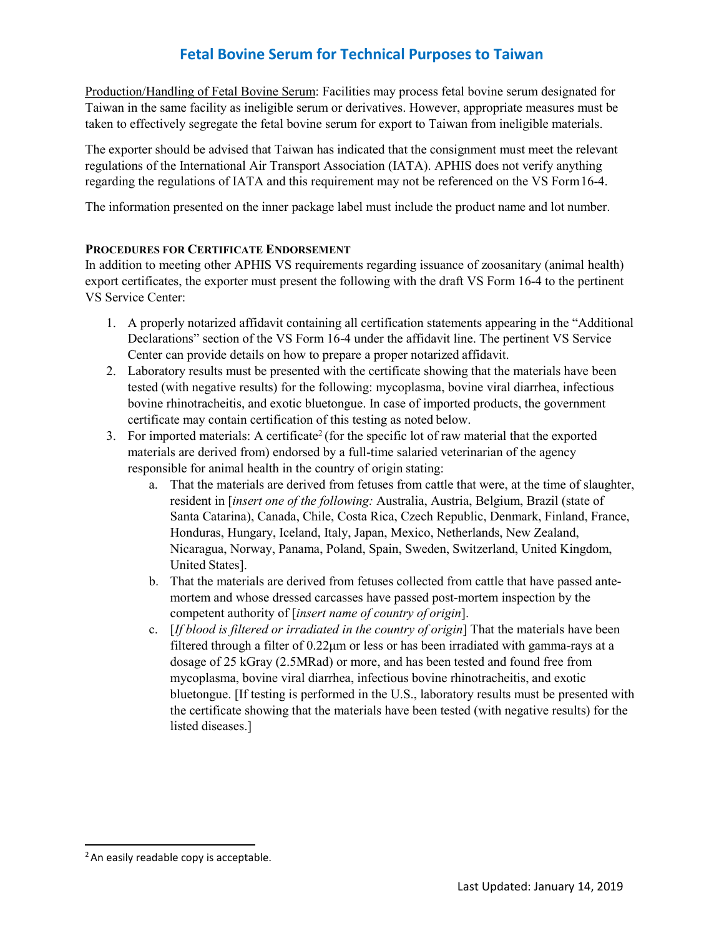## **Fetal Bovine Serum for Technical Purposes to Taiwan**

Production/Handling of Fetal Bovine Serum: Facilities may process fetal bovine serum designated for Taiwan in the same facility as ineligible serum or derivatives. However, appropriate measures must be taken to effectively segregate the fetal bovine serum for export to Taiwan from ineligible materials.

The exporter should be advised that Taiwan has indicated that the consignment must meet the relevant regulations of the International Air Transport Association (IATA). APHIS does not verify anything regarding the regulations of IATA and this requirement may not be referenced on the VS Form16-4.

The information presented on the inner package label must include the product name and lot number.

#### **PROCEDURES FOR CERTIFICATE ENDORSEMENT**

In addition to meeting other APHIS VS requirements regarding issuance of zoosanitary (animal health) export certificates, the exporter must present the following with the draft VS Form 16-4 to the pertinent VS Service Center:

- 1. A properly notarized affidavit containing all certification statements appearing in the "Additional Declarations" section of the VS Form 16-4 under the affidavit line. The pertinent VS Service Center can provide details on how to prepare a proper notarized affidavit.
- 2. Laboratory results must be presented with the certificate showing that the materials have been tested (with negative results) for the following: mycoplasma, bovine viral diarrhea, infectious bovine rhinotracheitis, and exotic bluetongue. In case of imported products, the government certificate may contain certification of this testing as noted below.
- 3. For imported materials: A certificate<sup>2</sup> (for the specific lot of raw material that the exported materials are derived from) endorsed by a full-time salaried veterinarian of the agency responsible for animal health in the country of origin stating:
	- a. That the materials are derived from fetuses from cattle that were, at the time of slaughter, resident in [*insert one of the following:* Australia, Austria, Belgium, Brazil (state of Santa Catarina), Canada, Chile, Costa Rica, Czech Republic, Denmark, Finland, France, Honduras, Hungary, Iceland, Italy, Japan, Mexico, Netherlands, New Zealand, Nicaragua, Norway, Panama, Poland, Spain, Sweden, Switzerland, United Kingdom, United States].
	- b. That the materials are derived from fetuses collected from cattle that have passed antemortem and whose dressed carcasses have passed post-mortem inspection by the competent authority of [*insert name of country of origin*].
	- c. [*If blood is filtered or irradiated in the country of origin*] That the materials have been filtered through a filter of 0.22μm or less or has been irradiated with gamma-rays at a dosage of 25 kGray (2.5MRad) or more, and has been tested and found free from mycoplasma, bovine viral diarrhea, infectious bovine rhinotracheitis, and exotic bluetongue. [If testing is performed in the U.S., laboratory results must be presented with the certificate showing that the materials have been tested (with negative results) for the listed diseases.]

<span id="page-1-0"></span><sup>&</sup>lt;sup>2</sup> An easily readable copy is acceptable.